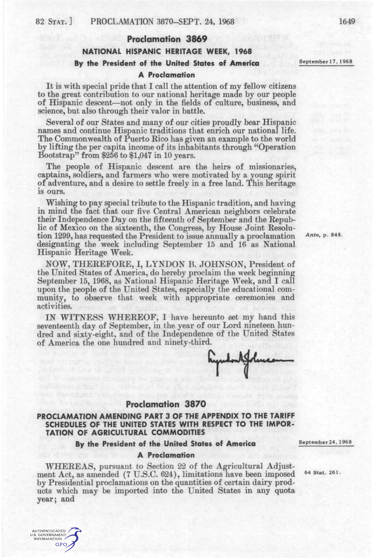# **Proclamation 3869 NATIONAL HISPANIC HERITAGE WEEK, 1968**  By the President of the United States of America September 17, 1968

#### **A Proclamation**

It is with special pride that I call the attention of my fellow citizens to the great contribution to our national heritage made by our people of Hispanic descent—not only in the fields of culture, business, and science, but also through their valor in battle.

Several of our States and many of our cities proudly bear Hispanic names and continue Hispanic traditions that enrich our national life. The Commonwealth of Puerto Rico has given an example to the world by lifting the per capita income of its inhabitants through "Operation Bootstrap" from \$256 to \$1,047 in 10 years.

The people of Hispanic descent are the heirs of missionaries, captains, soldiers, and farmers who were motivated by a young spirit of adventure, and a desire to settle freely in a free land. This heritage is ours.

Wishing to pay special tribute to the Hispanic tradition, and having in mind the fact that our five Central American neighbors celebrate their Independence Day on the fifteenth of September and the Republic of Mexico on the sixteenth, the Congress, by House Joint Resolution 1299, has requested the President to issue annually a proclamation  $\pi$ <sup>nte, p. 848.</sup> designating the week including September 15 and 16 as National Hispanic Heritage Week.

NOW, THEREFORE, I, LYNDON B. JOHNSON, President of the United States of America, do hereby proclaim the week beginning September 15, 1968, as National Hispanic Heritage Week, and I call upon the people of the United States, especially the educational community, to observe that week with appropriate ceremonies and activities.

IN WITNESS WHEREOF, I have hereunto set my hand this seventeenth day of September, in the year of our Lord nineteen hundred and sixty-eight, and of the Independence of the United States of America the one hundred and ninety-third.

### **PROCLAMATION AMENDING PART 3 OF THE APPENDIX TO THE TARIFF SCHEDULES OF THE UNITED STATES WITH RESPECT TO THE IMPOR-TATION OF AGRICULTURAL COMMODITIES**

**Proclamation 3870** 

**By the President of the United States of America** 

#### **A Proclamation**

WHEREAS, pursuant to Section 22 of the Agricultural Adjustment Act, as amended (7 U.S.C. 624), limitations have been imposed by Presidential proclamations on the quantities of certain dairy products which may be imported into the United States in any quota year; and

September 24,1968

64 Stat. 261.

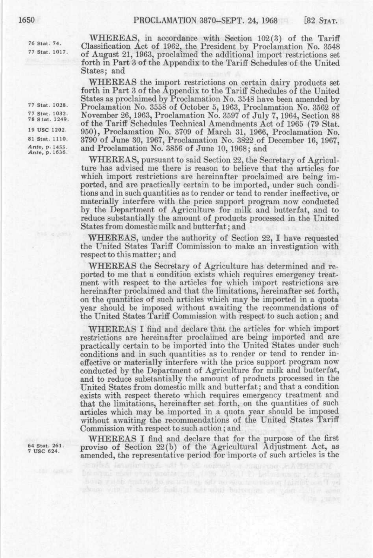| 76 Stat. 74. |                |
|--------------|----------------|
|              | 77 Stat. 1017. |

WHEEEAS, in accordance with Section 102(3) of the Tariff Classification Act of 1962, the President by Proclamation No. 3548 of August 21, 1963, proclaimed the additional import restrictions set forth in Part 3 of the Appendix to the Tariff Schedules of the United States; and

WHEREAS the import restrictions on certain dairy products set forth in Part 3 of the Appendix to the Tariff Schedules of the United States as proclaimed by Proclamation No. 3548 have been amended by <sup>77 Stat. 1028.</sup> Proclamation No. 3558 of October 5, 1963, Proclamation No. 3562 of<br><sup>77 Stat. 1032.</sup> November 96, 1963. Proclamation No. 3597 of July 7, 1964. Section 88 <sup>77 Stat.</sup> 1932. November 26, 1963, Proclamation No. 3597 of July 7, 1964, Section 88 <sup> $\frac{1}{2}$ </sup> of the Tariff Schedules Technical Amendments Act of 1965 (79 Stat.<br><sup>19</sup> USC <sup>1202</sup> 950) Proclamation No. <sup>2709</sup> of March <sup>21</sup> 1966 Proclamation No. <sup>19 USC</sup> <sup>1202.</sup> 950), Proclamation No. 3709 of March 31, 1966, Proclamation No.  $31\$  Stat. 1110.  $3790\$  of June 30, 1967. Proclamation No. 3899 of December 16, 1967. 81 Stat. 1110. 3790 of June 30, 1967, Proclamation No. 3822 of December 16, 1967, Ante, p. 1455. and Proclamation No. 3856 of June 10, 1968; and and Proclamation No. 3856 of June 10, 1968; and

WHEREAS, pursuant to said Section 22, the Secretary of Agriculture has advised me there is reason to believe that the articles for which import restrictions are hereinafter proclaimed are being imported, and are practically certain to be imported, under such conditions and in such quantities as to render or tend to render ineffective, or materially interfere with the price support program now conducted materially interfere with the price support program now conducted<br>by the Department of Agmanitum for milk and butterfet, and to by the Department of Agriculture for milk and butterfat, and to reduce substantially the amount of products processed in the United States from domestic milk and butterfat; and

WHEEEAS, under the authority of Section 22, I have requested the United States Tariff Commission to make an investigation with respect to this matter; and

WHEREAS the Secretary of Agriculture has determined and reported to me that a condition exists which requires emergency treatment with respect to the articles for which import restrictions are hereinafter proclaimed and that the limitations, hereinafter set forth, on the quantities of such articles which may be imported in a quota year should be imposed without awaiting the recommendations of the United States Tariff Commission with respect to such action; and

WHEREAS I find and declare that the articles for which import restrictions are hereinafter proclaimed are being imported and are practically certain to be imported into the United States under such conditions and in such quantities as to render or tend to render ineffective or materially interfere with the price support program now conducted by the Department of Agriculture for milk and butterfat, and to reduce substantially the amount of products processed in the United States from domestic milk and butterfat; and that a condition exists with respect thereto which requires emergency treatment and that the limitations, hereinafter set forth, on the quantities of such articles which may be imported in a quota year should be imposed without awaiting the recommendations of the United States Tariff Commission with respect to such action; and

WHEREAS I find and declare that for the purpose of the first  $_{7}^{64}$  stat. 261. proviso of Section 22(b) of the Agricultural Adjustment Act, as amended, the representative period for imports of such articles is the

be a root salve to as sheap of as was transform furniture T ve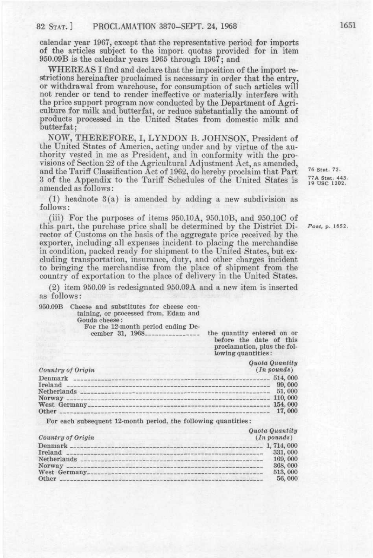calendar year 1967, except that the representative period for imports of the articles subject to the import quotas provided for in item 950.09B is the calendar years 1965 through 196?; and

WHEREAS I find and declare that the imposition of the import restrictions hereinafter proclaimed is necessary in order that the entry, or withdrawal from warehouse, for consumption of such articles will not render or tend to render ineffective or materially interfere with the price support program now conducted by the Department of Agriculture for milk and butterfat, or reduce substantially the amount of products processed in the United States from domestic milk and butterfat;

NOW, THEEEFORE, I, LYNDON B. JOHNSON, President of the United States of America, acting under and by virtue of the authority vested in me as President, and in conformity with the provisions of Section 22 of the Agricultural Adjustment Act, as amended, and the Tariff Classification Act of 1962, do hereby proclaim that Part 3 of the Appendix to the Tariff Schedules of the United States is <sup>77A Stat. 443.</sup> amended as follows:

(1) headnote 3(a) is amended by adding a new subdivision as follows :

(iii) For the purposes of items 950.10A, 950.10B, and 950.10C of this part, the purchase price shall be determined by the District Di- *Post,* p. 1652. rector of Customs on the basis of the aggregate price received by the exporter, including all expenses incident to placing the merchandise in condition, packed ready for shipment to the United States, but excluding transportation, insurance, duty, and other charges incident to bringing the merchandise from the place of shipment from the country of exportation to the place of delivery in the United States.

(2) item 950.09 is redesignated 950.09A and a new item is inserted as follows:

950.09B Cheese and substitutes for cheese containing, or processed from, Edam and Gouda cheese: For the 12-month period ending De-<br>cember 31, 1968

the quantity entered on or before the date of this proclamation, plus the following quantities:

| Country of Origin                      | Quota Quantity<br>$(In$ pounds)                             |
|----------------------------------------|-------------------------------------------------------------|
| Denmark<br>Ireland<br>Norway.<br>Other | 514,000<br>99,000<br>51.000<br>110,000<br>154,000<br>17,000 |

For each subsequent 12-month period, the following quantities:

| Country of Origin            | Quota Quantity<br>$(In$ pounds) |
|------------------------------|---------------------------------|
| Denmark ____________________ | 1, 714, 000                     |
| Ireland ___                  | 331,000                         |
| Netherlands _______________  | 169,000                         |
| Norway ------------------    | 368,000                         |
|                              | 513,000                         |
| Other                        | 56,000                          |

76 Stat. 72.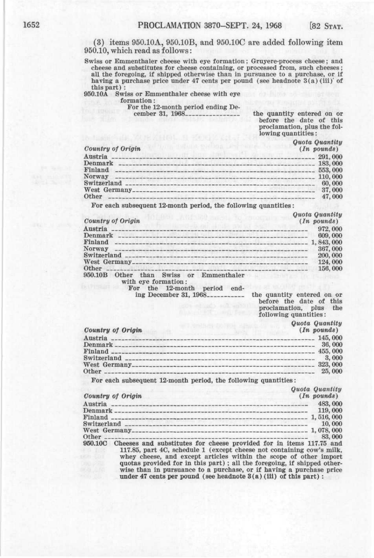(3) items 950.10A, 950.10B, and 950.10C are added following item 950.10, which read as follows:

Swiss or Emmenthaler cheese with eye formation; Gruyere-process cheese; and cheese and substitutes for cheese containing, or processed from, such cheeses; all the foregoing, if shipped otherwise than in pursuance to a purchase, or if having a purchase price under 47 cents per pound (see headnote 3(a) (iii)' of this part) :

## 950.10A Swiss or Emmenthaler cheese with eye

formation:

For the 12-month period ending De-<br>cember 31, 1968

the quantity entered on or before the date of this proclamation, plus the following quantities:

|                           | Quota Quantity |
|---------------------------|----------------|
| Country of Origin         | $(In$ pounds)  |
| Austria<br>-------------- | 291,000        |
| Denmark                   |                |
| Finland                   | 553,000        |
|                           | 110,000        |
|                           | 60,000         |
|                           | 37,000         |
| Other                     | 47,000         |
| <b>A 1999 B 1999</b>      |                |

For each subsequent 12-month period, the following quantities:

| Quota Quantity |
|----------------|
| $(In$ pounds)  |

| Country of Origin                                                                                                                | $(In$ pounds) |
|----------------------------------------------------------------------------------------------------------------------------------|---------------|
|                                                                                                                                  | 972,000       |
| Denmark                                                                                                                          | 609,000       |
| Finland                                                                                                                          |               |
| Norway<br><b>The continues of the continues of the continues of the continues of the continues of the continues of the conti</b> | 367,000       |
|                                                                                                                                  | 200,000       |
|                                                                                                                                  | 124,000       |
| Other                                                                                                                            | 156,000       |
| 950.10B<br>than Swiss or<br>Emmenthaler<br>Other                                                                                 |               |
| with eye formation:                                                                                                              |               |

For the 12-month period end-

ing December 31, 1968\_\_\_\_\_\_\_\_\_\_\_ the quantity entered on or before the date of this proclamation, plus the following quantities:

*Quota Quantity* 

| Country of Origin                  | $(In$ pounds) |
|------------------------------------|---------------|
| Austria                            | 145,000       |
| Denmark                            | 36,000        |
| Finland _______________            | 455, 000      |
| Switzerland ______________         | 3,000         |
|                                    | 323, 000      |
| Other<br>market bank and the state | 25,000        |
|                                    |               |

For each subsequent 12-month period, the following quantities:

*Quota Quantity* 

| Country of Origin                                                               | $(In$ pounds) |
|---------------------------------------------------------------------------------|---------------|
| Austria                                                                         | 483,000       |
| Denmark --                                                                      | 119,000       |
| ------------------------------------- 1,516,000<br>Finland __________           |               |
|                                                                                 | 10.000        |
| $\frac{1}{2}$ , 078, 000                                                        |               |
| Other                                                                           | 83,000        |
| $950,100$ Chasses and enhetitutes for chasse provided for in items $117.75$ and |               |

950.10C Cheeses and substitutes for cheese provided for in items 117.75 and 117.85, part 4C, schedule 1 (except cheese not containing cow's milk, whey cheese, and except articles within the scope of other import quotas provided for in this part) ; all the foregoing, if shipped otherwise than in pursuance to a purchase, or if having a purchase price under 47 cents per pound (see headnote  $3(a)$  (iii) of this part) :